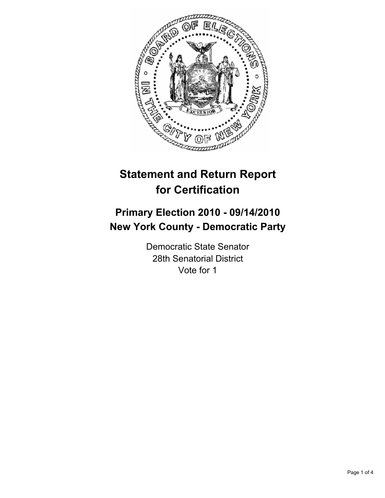

# **Statement and Return Report for Certification**

## **Primary Election 2010 - 09/14/2010 New York County - Democratic Party**

Democratic State Senator 28th Senatorial District Vote for 1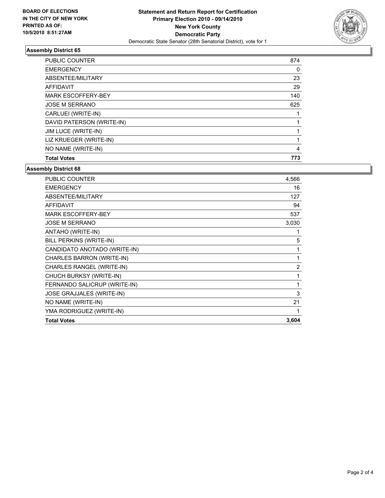

## **Assembly District 65**

| <b>PUBLIC COUNTER</b>     | 874 |
|---------------------------|-----|
| <b>EMERGENCY</b>          | 0   |
| ABSENTEE/MILITARY         | 23  |
| <b>AFFIDAVIT</b>          | 29  |
| <b>MARK ESCOFFERY-BEY</b> | 140 |
| <b>JOSE M SERRANO</b>     | 625 |
| CARLUEI (WRITE-IN)        |     |
| DAVID PATERSON (WRITE-IN) |     |
| JIM LUCE (WRITE-IN)       |     |
| LIZ KRUEGER (WRITE-IN)    |     |
| NO NAME (WRITE-IN)        | 4   |
| <b>Total Votes</b>        | 773 |

#### **Assembly District 68**

| <b>Total Votes</b>           | 3,604          |
|------------------------------|----------------|
| YMA RODRIGUEZ (WRITE-IN)     | 1              |
| NO NAME (WRITE-IN)           | 21             |
| JOSE GRAJJALES (WRITE-IN)    | 3              |
| FERNANDO SALICRUP (WRITE-IN) | 1              |
| CHUCH BURKSY (WRITE-IN)      | 1              |
| CHARLES RANGEL (WRITE-IN)    | $\overline{2}$ |
| CHARLES BARRON (WRITE-IN)    | 1              |
| CANDIDATO ANOTADO (WRITE-IN) | 1              |
| BILL PERKINS (WRITE-IN)      | 5              |
| ANTAHO (WRITE-IN)            | 1              |
| <b>JOSE M SERRANO</b>        | 3,030          |
| <b>MARK ESCOFFERY-BEY</b>    | 537            |
| <b>AFFIDAVIT</b>             | 94             |
| ABSENTEE/MILITARY            | 127            |
| <b>EMERGENCY</b>             | 16             |
| <b>PUBLIC COUNTER</b>        | 4,566          |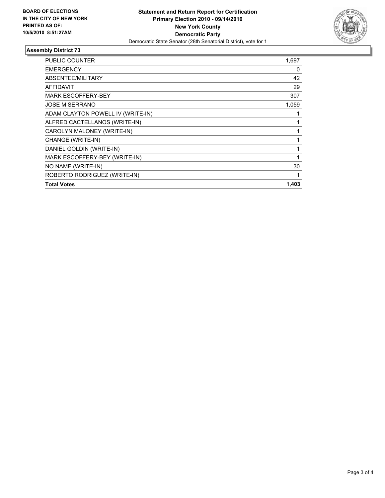

## **Assembly District 73**

| <b>PUBLIC COUNTER</b>             | 1,697        |
|-----------------------------------|--------------|
| <b>EMERGENCY</b>                  | 0            |
| <b>ABSENTEE/MILITARY</b>          | 42           |
| <b>AFFIDAVIT</b>                  | 29           |
| <b>MARK ESCOFFERY-BEY</b>         | 307          |
| <b>JOSE M SERRANO</b>             | 1,059        |
| ADAM CLAYTON POWELL IV (WRITE-IN) |              |
| ALFRED CACTELLANOS (WRITE-IN)     | 1            |
| CAROLYN MALONEY (WRITE-IN)        | 1            |
| CHANGE (WRITE-IN)                 | 1            |
| DANIEL GOLDIN (WRITE-IN)          | 1            |
| MARK ESCOFFERY-BEY (WRITE-IN)     | $\mathbf{1}$ |
| NO NAME (WRITE-IN)                | 30           |
| ROBERTO RODRIGUEZ (WRITE-IN)      | 1            |
| <b>Total Votes</b>                | 1,403        |